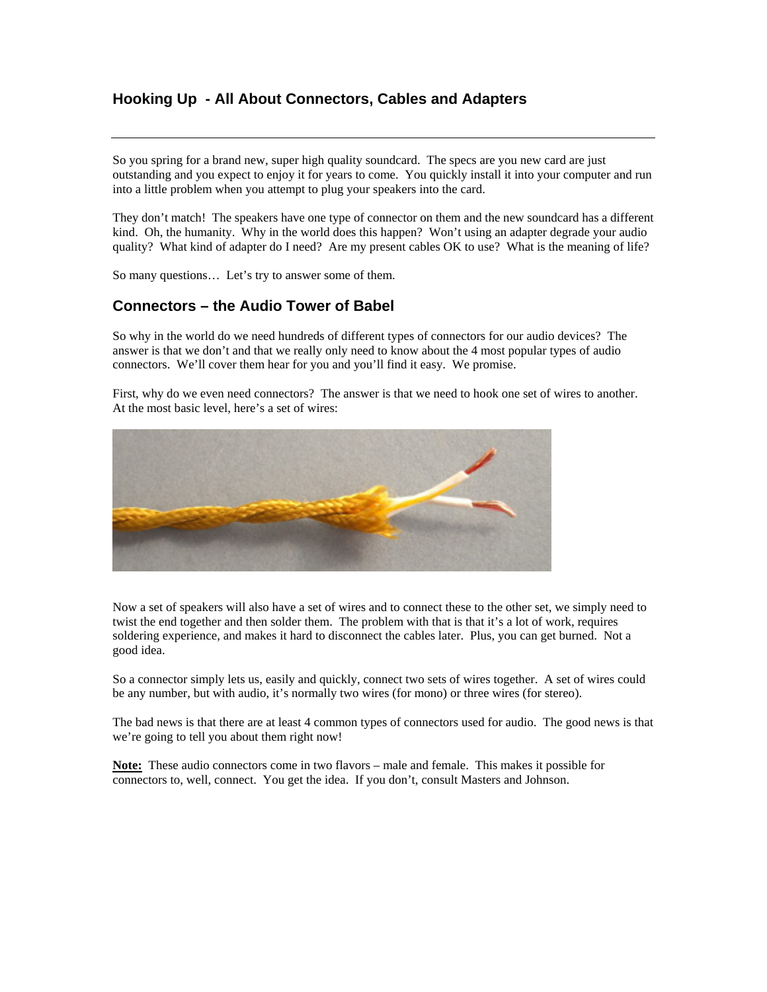# **Hooking Up - All About Connectors, Cables and Adapters**

So you spring for a brand new, super high quality soundcard. The specs are you new card are just outstanding and you expect to enjoy it for years to come. You quickly install it into your computer and run into a little problem when you attempt to plug your speakers into the card.

They don't match! The speakers have one type of connector on them and the new soundcard has a different kind. Oh, the humanity. Why in the world does this happen? Won't using an adapter degrade your audio quality? What kind of adapter do I need? Are my present cables OK to use? What is the meaning of life?

So many questions… Let's try to answer some of them.

# **Connectors – the Audio Tower of Babel**

So why in the world do we need hundreds of different types of connectors for our audio devices? The answer is that we don't and that we really only need to know about the 4 most popular types of audio connectors. We'll cover them hear for you and you'll find it easy. We promise.

First, why do we even need connectors? The answer is that we need to hook one set of wires to another. At the most basic level, here's a set of wires:



Now a set of speakers will also have a set of wires and to connect these to the other set, we simply need to twist the end together and then solder them. The problem with that is that it's a lot of work, requires soldering experience, and makes it hard to disconnect the cables later. Plus, you can get burned. Not a good idea.

So a connector simply lets us, easily and quickly, connect two sets of wires together. A set of wires could be any number, but with audio, it's normally two wires (for mono) or three wires (for stereo).

The bad news is that there are at least 4 common types of connectors used for audio. The good news is that we're going to tell you about them right now!

**Note:** These audio connectors come in two flavors – male and female. This makes it possible for connectors to, well, connect. You get the idea. If you don't, consult Masters and Johnson.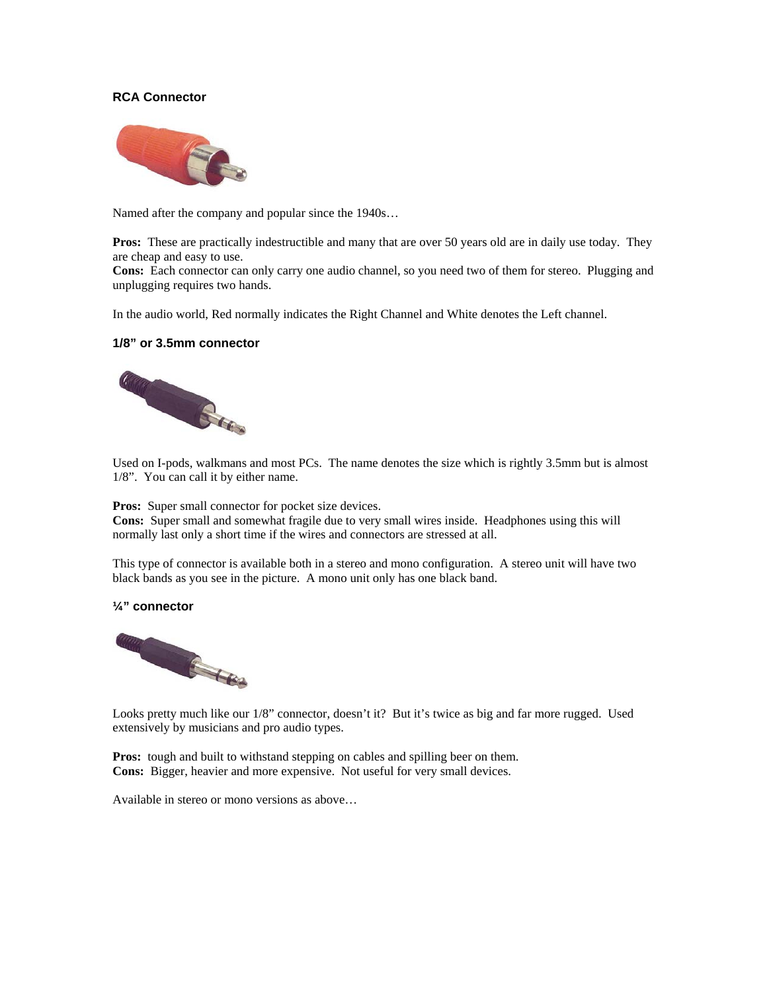### **RCA Connector**



Named after the company and popular since the 1940s…

**Pros:** These are practically indestructible and many that are over 50 years old are in daily use today. They are cheap and easy to use.

**Cons:** Each connector can only carry one audio channel, so you need two of them for stereo. Plugging and unplugging requires two hands.

In the audio world, Red normally indicates the Right Channel and White denotes the Left channel.

#### **1/8" or 3.5mm connector**



Used on I-pods, walkmans and most PCs. The name denotes the size which is rightly 3.5mm but is almost 1/8". You can call it by either name.

**Pros:** Super small connector for pocket size devices.

**Cons:** Super small and somewhat fragile due to very small wires inside. Headphones using this will normally last only a short time if the wires and connectors are stressed at all.

This type of connector is available both in a stereo and mono configuration. A stereo unit will have two black bands as you see in the picture. A mono unit only has one black band.

#### **¼" connector**



Looks pretty much like our 1/8" connector, doesn't it? But it's twice as big and far more rugged. Used extensively by musicians and pro audio types.

**Pros:** tough and built to withstand stepping on cables and spilling beer on them. **Cons:** Bigger, heavier and more expensive. Not useful for very small devices.

Available in stereo or mono versions as above…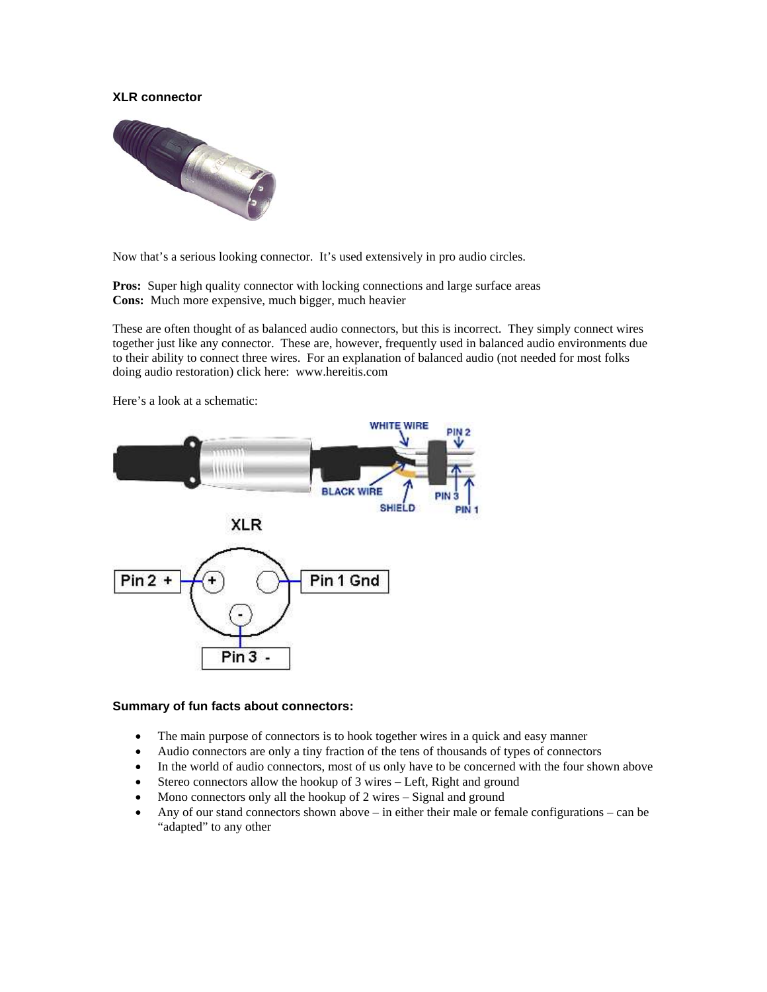### **XLR connector**



Now that's a serious looking connector. It's used extensively in pro audio circles.

**Pros:** Super high quality connector with locking connections and large surface areas **Cons:** Much more expensive, much bigger, much heavier

These are often thought of as balanced audio connectors, but this is incorrect. They simply connect wires together just like any connector. These are, however, frequently used in balanced audio environments due to their ability to connect three wires. For an explanation of balanced audio (not needed for most folks doing audio restoration) click here: www.hereitis.com



Here's a look at a schematic:

#### **Summary of fun facts about connectors:**

- The main purpose of connectors is to hook together wires in a quick and easy manner
- Audio connectors are only a tiny fraction of the tens of thousands of types of connectors
- In the world of audio connectors, most of us only have to be concerned with the four shown above
- Stereo connectors allow the hookup of 3 wires Left, Right and ground
- Mono connectors only all the hookup of 2 wires Signal and ground
- Any of our stand connectors shown above in either their male or female configurations can be "adapted" to any other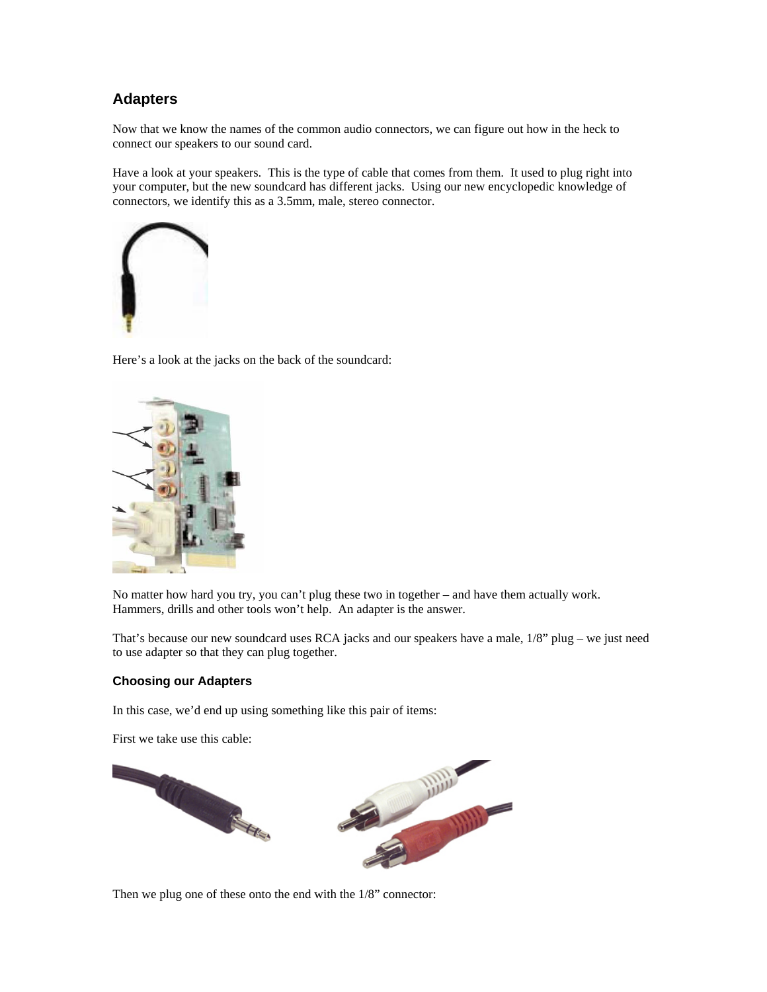# **Adapters**

Now that we know the names of the common audio connectors, we can figure out how in the heck to connect our speakers to our sound card.

Have a look at your speakers. This is the type of cable that comes from them. It used to plug right into your computer, but the new soundcard has different jacks. Using our new encyclopedic knowledge of connectors, we identify this as a 3.5mm, male, stereo connector.



Here's a look at the jacks on the back of the soundcard:



No matter how hard you try, you can't plug these two in together – and have them actually work. Hammers, drills and other tools won't help. An adapter is the answer.

That's because our new soundcard uses RCA jacks and our speakers have a male, 1/8" plug – we just need to use adapter so that they can plug together.

### **Choosing our Adapters**

In this case, we'd end up using something like this pair of items:

First we take use this cable:



Then we plug one of these onto the end with the 1/8" connector: